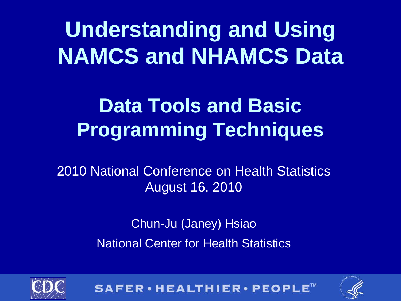## **Understanding and Using NAMCS and NHAMCS Data**

### **Data Tools and Basic Programming Techniques**

2010 National Conference on Health Statistics August 16, 2010

> Chun-Ju (Janey) Hsiao National Center for Health Statistics





SAFER · HEALTHIER · PEOPLE™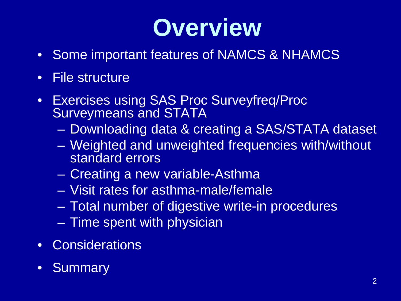# **Overview**

- Some important features of NAMCS & NHAMCS
- File structure
- Exercises using SAS Proc Surveyfreq/Proc Surveymeans and STATA
	- Downloading data & creating a SAS/STATA dataset
	- Weighted and unweighted frequencies with/without standard errors
	- Creating a new variable-Asthma
	- Visit rates for asthma-male/female
	- Total number of digestive write-in procedures
	- Time spent with physician
- Considerations
- **Summary**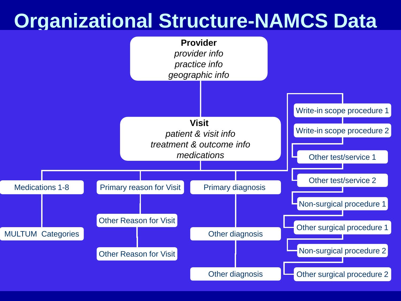### **Organizational Structure-NAMCS Data**

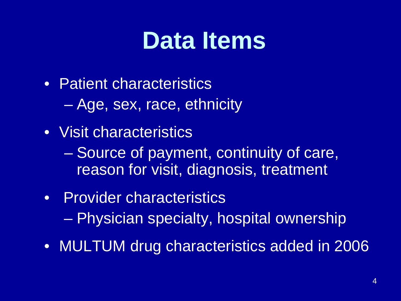# **Data Items**

- Patient characteristics
	- Age, sex, race, ethnicity
- Visit characteristics
	- Source of payment, continuity of care, reason for visit, diagnosis, treatment
- Provider characteristics – Physician specialty, hospital ownership
- MULTUM drug characteristics added in 2006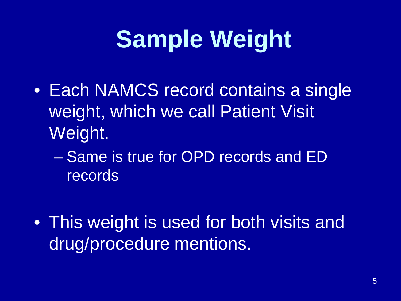# **Sample Weight**

- Each NAMCS record contains a single weight, which we call Patient Visit Weight.
	- Same is true for OPD records and ED records
- This weight is used for both visits and drug/procedure mentions.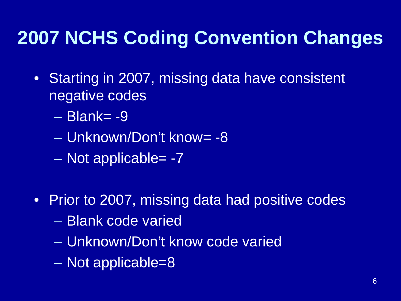### **2007 NCHS Coding Convention Changes**

- Starting in 2007, missing data have consistent negative codes
	- Blank= -9
	- Unknown/Don't know= -8
	- Not applicable= -7
- Prior to 2007, missing data had positive codes
	- Blank code varied
	- Unknown/Don't know code varied
	- Not applicable=8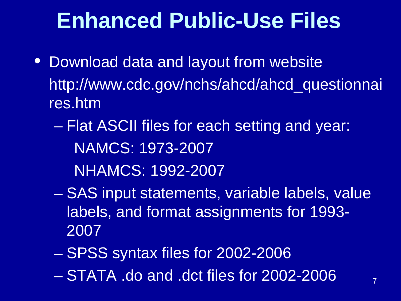### **Enhanced Public-Use Files**

- Download data and layout from website http://www.cdc.gov/nchs/ahcd/ahcd\_questionnai res.htm
	- Flat ASCII files for each setting and year: NAMCS: 1973-2007 NHAMCS: 1992-2007
	- SAS input statements, variable labels, value labels, and format assignments for 1993- 2007
	- SPSS syntax files for 2002-2006
	- STATA .do and .dct files for 2002-2006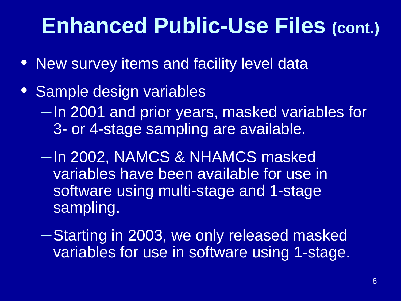### **Enhanced Public-Use Files (cont.)**

- New survey items and facility level data
- Sample design variables –In 2001 and prior years, masked variables for 3- or 4-stage sampling are available.
	- –In 2002, NAMCS & NHAMCS masked variables have been available for use in software using multi-stage and 1-stage sampling.
	- –Starting in 2003, we only released masked variables for use in software using 1-stage.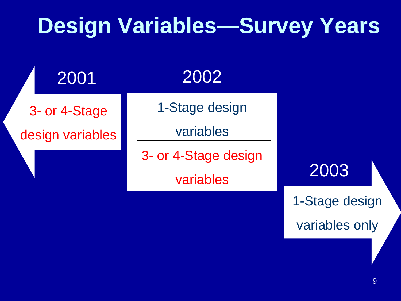### **Design Variables—Survey Years**

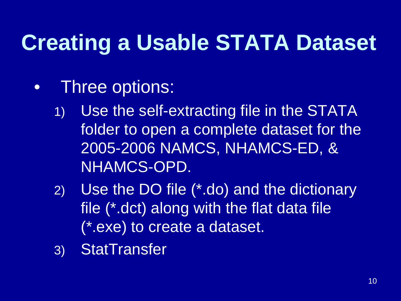# **Creating a Usable STATA Dataset**

- Three options:
	- 1) Use the self-extracting file in the STATA folder to open a complete dataset for the 2005-2006 NAMCS, NHAMCS-ED, & NHAMCS-OPD.
	- 2) Use the DO file (\*.do) and the dictionary file (\*.dct) along with the flat data file (\*.exe) to create a dataset.
	- 3) StatTransfer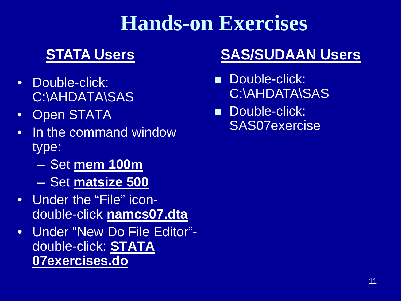### **Hands-on Exercises**

- Double-click: C:\AHDATA\SAS
- Open STATA
- In the command window type:
	- Set **mem 100m**
	- Set **matsize 500**
- Under the "File" icondouble-click **namcs07.dta**
- Under "New Do File Editor" double-click: **STATA 07exercises.do**

### **STATA Users SAS/SUDAAN Users**

- **Double-click:** C:\AHDATA\SAS
- **Double-click:** SAS07exercise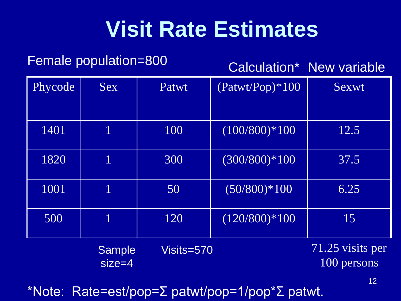### **Visit Rate Estimates**

### Female population=800 Calculation\* New variable

| Phycode | <b>Sex</b>                | Patwt      | $(Patwt/Pop)*100$ | <b>Sexwt</b>                    |  |
|---------|---------------------------|------------|-------------------|---------------------------------|--|
|         |                           |            |                   |                                 |  |
| 1401    |                           | 100        | $(100/800)*100$   | 12.5                            |  |
| 1820    | 1                         | 300        | $(300/800)*100$   | 37.5                            |  |
| 1001    | 1                         | 50         | $(50/800)*100$    | 6.25                            |  |
| 500     | 1                         | 120        | $(120/800)*100$   | 15                              |  |
|         | <b>Sample</b><br>$size=4$ | Visits=570 |                   | 71.25 visits per<br>100 persons |  |

\*Note: Rate=est/pop=Σ patwt/pop=1/pop\*Σ patwt.

12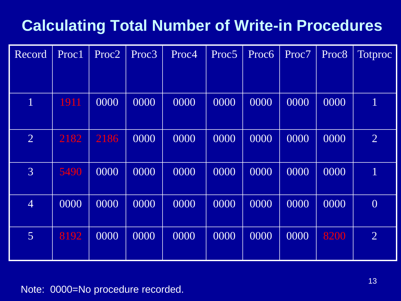### **Calculating Total Number of Write-in Procedures**

| Record         | Proc1 | Proc2 | Proc3 | Proc4 | Proc5 | Proc6 | Proc7 | Proc8 | Totproc        |
|----------------|-------|-------|-------|-------|-------|-------|-------|-------|----------------|
|                |       |       |       |       |       |       |       |       |                |
| $\mathbf 1$    | 1911  | 0000  | 0000  | 0000  | 0000  | 0000  | 0000  | 0000  | $\mathbf{1}$   |
| $\overline{2}$ | 2182  | 2186  | 0000  | 0000  | 0000  | 0000  | 0000  | 0000  | $\overline{2}$ |
| $\overline{3}$ | 5490  | 0000  | 0000  | 0000  | 0000  | 0000  | 0000  | 0000  | $\mathbf{1}$   |
| $\overline{4}$ | 0000  | 0000  | 0000  | 0000  | 0000  | 0000  | 0000  | 0000  | $\overline{0}$ |
| $\overline{5}$ | 8192  | 0000  | 0000  | 0000  | 0000  | 0000  | 0000  | 8200  | $\overline{2}$ |

### Note: 0000=No procedure recorded.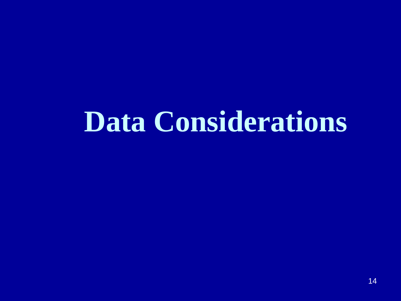# **Data Considerations**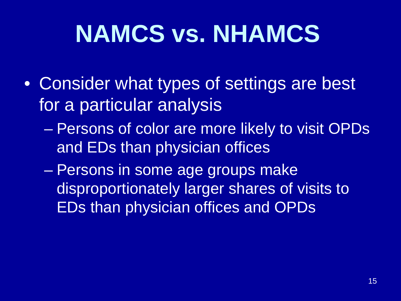# **NAMCS vs. NHAMCS**

- Consider what types of settings are best for a particular analysis
	- Persons of color are more likely to visit OPDs and EDs than physician offices
	- Persons in some age groups make disproportionately larger shares of visits to EDs than physician offices and OPDs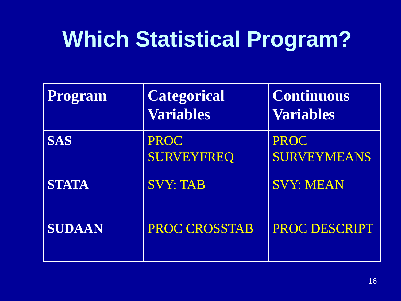## **Which Statistical Program?**

| Program      | <b>Categorical</b><br><b>Variables</b> | <b>Continuous</b><br><b>Variables</b> |
|--------------|----------------------------------------|---------------------------------------|
| <b>SAS</b>   | <b>PROC</b><br><b>SURVEYFREQ</b>       | <b>PROC</b><br><b>SURVEYMEANS</b>     |
| <b>STATA</b> | <b>SVY: TAB</b>                        | <b>SVY: MEAN</b>                      |
| SUDAAN       | <b>PROC CROSSTAB</b>                   | PROC DESCRIPT                         |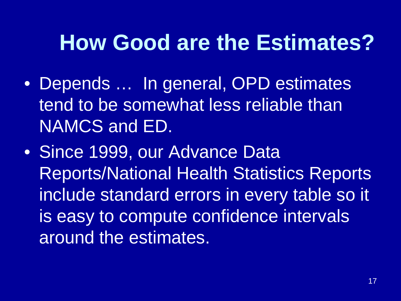### **How Good are the Estimates?**

- Depends … In general, OPD estimates tend to be somewhat less reliable than NAMCS and ED.
- Since 1999, our Advance Data Reports/National Health Statistics Reports include standard errors in every table so it is easy to compute confidence intervals around the estimates.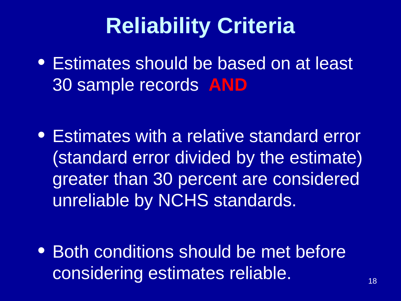## **Reliability Criteria**

• Estimates should be based on at least 30 sample records **AND**

• Estimates with a relative standard error (standard error divided by the estimate) greater than 30 percent are considered unreliable by NCHS standards.

• Both conditions should be met before considering estimates reliable.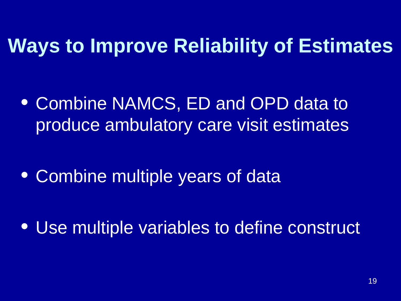### **Ways to Improve Reliability of Estimates**

• Combine NAMCS, ED and OPD data to produce ambulatory care visit estimates

• Combine multiple years of data

• Use multiple variables to define construct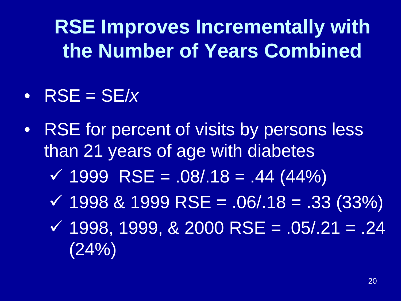**RSE Improves Incrementally with the Number of Years Combined**

- $RSE = SE/x$
- RSE for percent of visits by persons less than 21 years of age with diabetes
	- $\sqrt{4999}$  RSE = .08/.18 = .44 (44%)
	- $\sqrt{199881999 \text{ RSE}} = 0.06/0.18 = 0.33(33\%)$
	- $\checkmark$  1998, 1999, & 2000 RSE = .05/.21 = .24 (24%)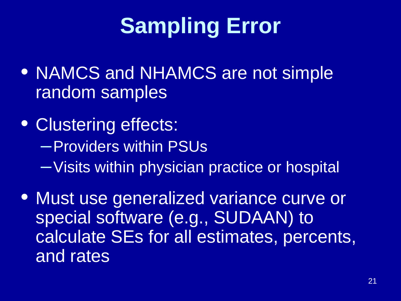# **Sampling Error**

- NAMCS and NHAMCS are not simple random samples
- Clustering effects: –Providers within PSUs –Visits within physician practice or hospital
- Must use generalized variance curve or special software (e.g., SUDAAN) to calculate SEs for all estimates, percents, and rates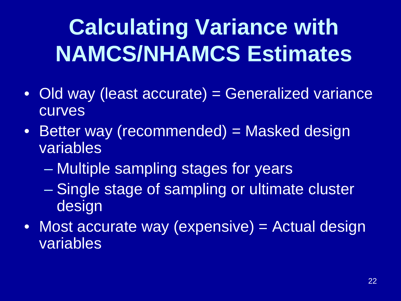# **Calculating Variance with NAMCS/NHAMCS Estimates**

- Old way (least accurate) = Generalized variance curves
- Better way (recommended) = Masked design variables
	- Multiple sampling stages for years
	- Single stage of sampling or ultimate cluster design
- Most accurate way (expensive) = Actual design variables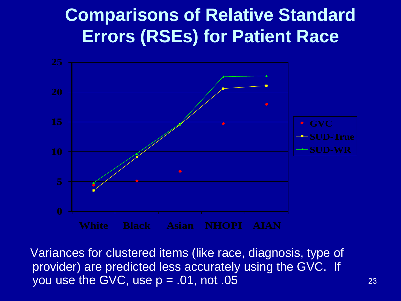### **Comparisons of Relative Standard Errors (RSEs) for Patient Race**



Variances for clustered items (like race, diagnosis, type of provider) are predicted less accurately using the GVC. If you use the GVC, use  $p = .01$ , not  $.05$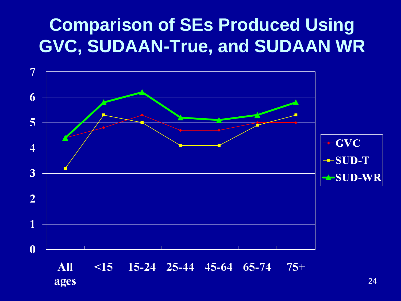### **Comparison of SEs Produced Using GVC, SUDAAN-True, and SUDAAN WR**

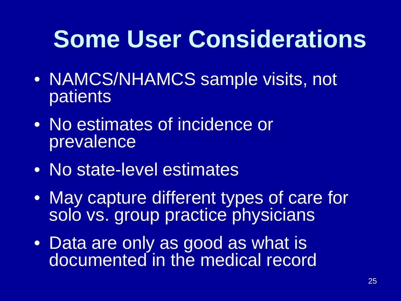# **Some User Considerations**

- NAMCS/NHAMCS sample visits, not patients
- No estimates of incidence or prevalence
- No state-level estimates
- May capture different types of care for solo vs. group practice physicians
- Data are only as good as what is documented in the medical record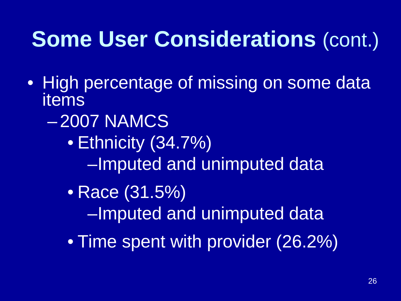### **Some User Considerations** (cont.)

- High percentage of missing on some data items
	- 2007 NAMCS
		- Ethnicity (34.7%) –Imputed and unimputed data
		- Race (31.5%) –Imputed and unimputed data
		- Time spent with provider (26.2%)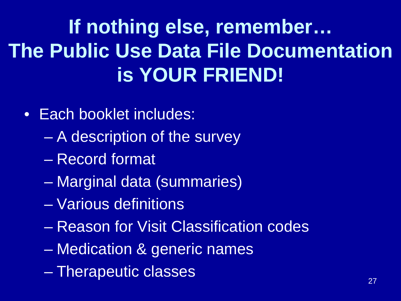### **If nothing else, remember… The Public Use Data File Documentation is YOUR FRIEND!**

- Each booklet includes:
	- A description of the survey
	- Record format
	- Marginal data (summaries)
	- Various definitions
	- Reason for Visit Classification codes
	- Medication & generic names
	- Therapeutic classes